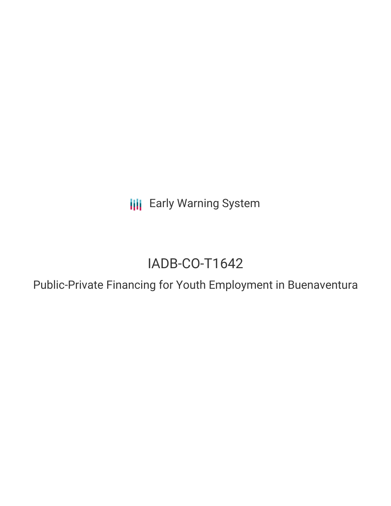**III** Early Warning System

# IADB-CO-T1642

Public-Private Financing for Youth Employment in Buenaventura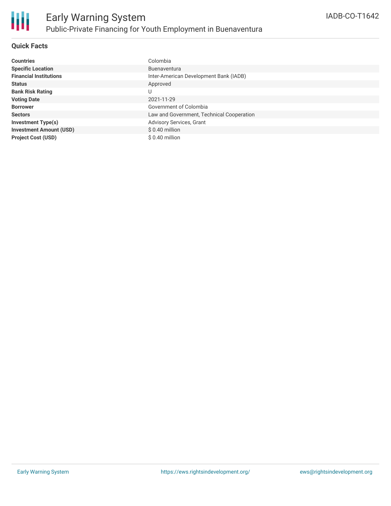### **Quick Facts**

| <b>Countries</b>               | Colombia                                  |
|--------------------------------|-------------------------------------------|
| <b>Specific Location</b>       | <b>Buenaventura</b>                       |
| <b>Financial Institutions</b>  | Inter-American Development Bank (IADB)    |
| <b>Status</b>                  | Approved                                  |
| <b>Bank Risk Rating</b>        | U                                         |
| <b>Voting Date</b>             | 2021-11-29                                |
| <b>Borrower</b>                | Government of Colombia                    |
| <b>Sectors</b>                 | Law and Government, Technical Cooperation |
| <b>Investment Type(s)</b>      | Advisory Services, Grant                  |
| <b>Investment Amount (USD)</b> | $$0.40$ million                           |
| <b>Project Cost (USD)</b>      | \$ 0.40 million                           |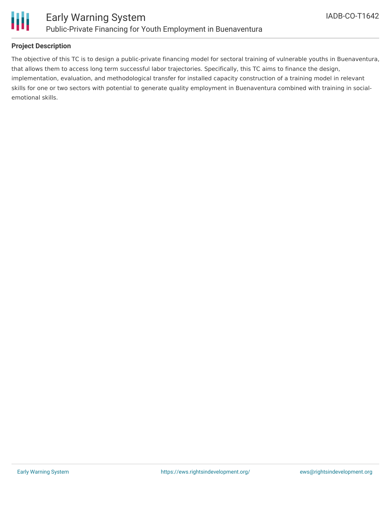

### **Project Description**

The objective of this TC is to design a public-private financing model for sectoral training of vulnerable youths in Buenaventura, that allows them to access long term successful labor trajectories. Specifically, this TC aims to finance the design, implementation, evaluation, and methodological transfer for installed capacity construction of a training model in relevant skills for one or two sectors with potential to generate quality employment in Buenaventura combined with training in socialemotional skills.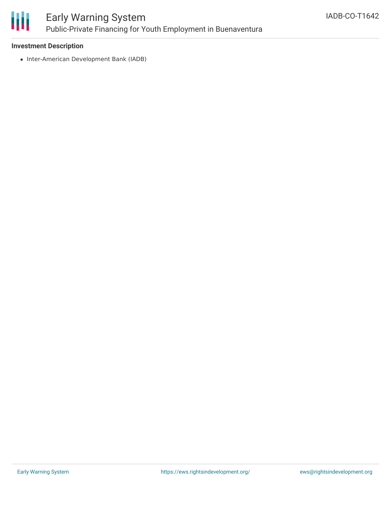

## Early Warning System Public-Private Financing for Youth Employment in Buenaventura

### **Investment Description**

• Inter-American Development Bank (IADB)